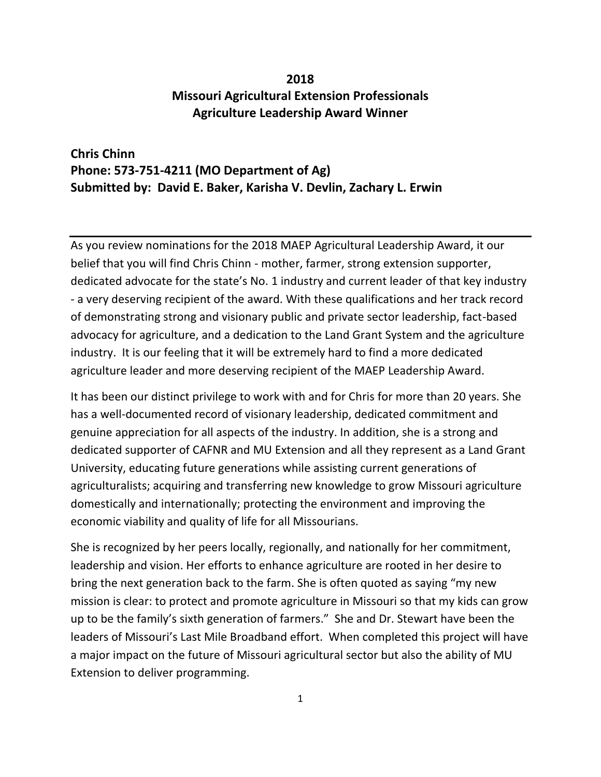## **2018 Missouri Agricultural Extension Professionals Agriculture Leadership Award Winner**

## **Chris Chinn Phone: 573-751-4211 (MO Department of Ag) Submitted by: David E. Baker, Karisha V. Devlin, Zachary L. Erwin**

As you review nominations for the 2018 MAEP Agricultural Leadership Award, it our belief that you will find Chris Chinn - mother, farmer, strong extension supporter, dedicated advocate for the state's No. 1 industry and current leader of that key industry - a very deserving recipient of the award. With these qualifications and her track record of demonstrating strong and visionary public and private sector leadership, fact-based advocacy for agriculture, and a dedication to the Land Grant System and the agriculture industry. It is our feeling that it will be extremely hard to find a more dedicated agriculture leader and more deserving recipient of the MAEP Leadership Award.

It has been our distinct privilege to work with and for Chris for more than 20 years. She has a well-documented record of visionary leadership, dedicated commitment and genuine appreciation for all aspects of the industry. In addition, she is a strong and dedicated supporter of CAFNR and MU Extension and all they represent as a Land Grant University, educating future generations while assisting current generations of agriculturalists; acquiring and transferring new knowledge to grow Missouri agriculture domestically and internationally; protecting the environment and improving the economic viability and quality of life for all Missourians.

She is recognized by her peers locally, regionally, and nationally for her commitment, leadership and vision. Her efforts to enhance agriculture are rooted in her desire to bring the next generation back to the farm. She is often quoted as saying "my new mission is clear: to protect and promote agriculture in Missouri so that my kids can grow up to be the family's sixth generation of farmers." She and Dr. Stewart have been the leaders of Missouri's Last Mile Broadband effort. When completed this project will have a major impact on the future of Missouri agricultural sector but also the ability of MU Extension to deliver programming.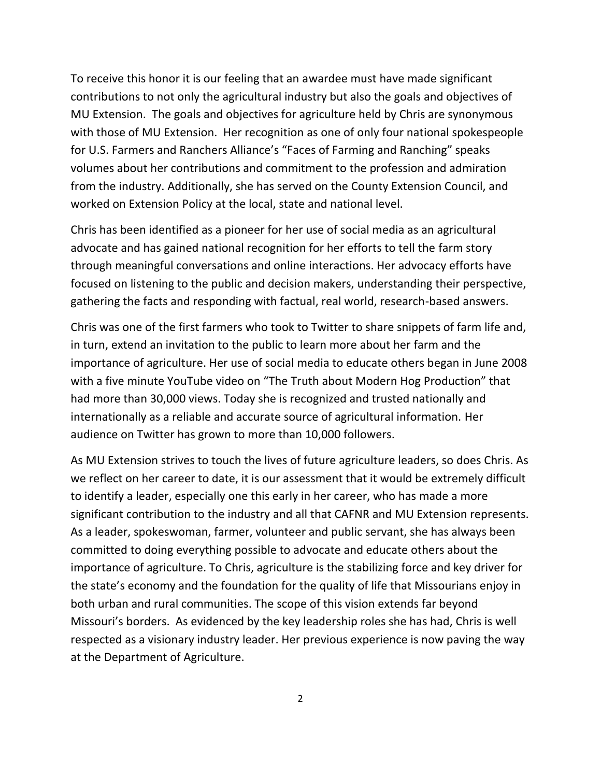To receive this honor it is our feeling that an awardee must have made significant contributions to not only the agricultural industry but also the goals and objectives of MU Extension. The goals and objectives for agriculture held by Chris are synonymous with those of MU Extension. Her recognition as one of only four national spokespeople for U.S. Farmers and Ranchers Alliance's "Faces of Farming and Ranching" speaks volumes about her contributions and commitment to the profession and admiration from the industry. Additionally, she has served on the County Extension Council, and worked on Extension Policy at the local, state and national level.

Chris has been identified as a pioneer for her use of social media as an agricultural advocate and has gained national recognition for her efforts to tell the farm story through meaningful conversations and online interactions. Her advocacy efforts have focused on listening to the public and decision makers, understanding their perspective, gathering the facts and responding with factual, real world, research-based answers.

Chris was one of the first farmers who took to Twitter to share snippets of farm life and, in turn, extend an invitation to the public to learn more about her farm and the importance of agriculture. Her use of social media to educate others began in June 2008 with a five minute YouTube video on "The Truth about Modern Hog Production" that had more than 30,000 views. Today she is recognized and trusted nationally and internationally as a reliable and accurate source of agricultural information. Her audience on Twitter has grown to more than 10,000 followers.

As MU Extension strives to touch the lives of future agriculture leaders, so does Chris. As we reflect on her career to date, it is our assessment that it would be extremely difficult to identify a leader, especially one this early in her career, who has made a more significant contribution to the industry and all that CAFNR and MU Extension represents. As a leader, spokeswoman, farmer, volunteer and public servant, she has always been committed to doing everything possible to advocate and educate others about the importance of agriculture. To Chris, agriculture is the stabilizing force and key driver for the state's economy and the foundation for the quality of life that Missourians enjoy in both urban and rural communities. The scope of this vision extends far beyond Missouri's borders. As evidenced by the key leadership roles she has had, Chris is well respected as a visionary industry leader. Her previous experience is now paving the way at the Department of Agriculture.